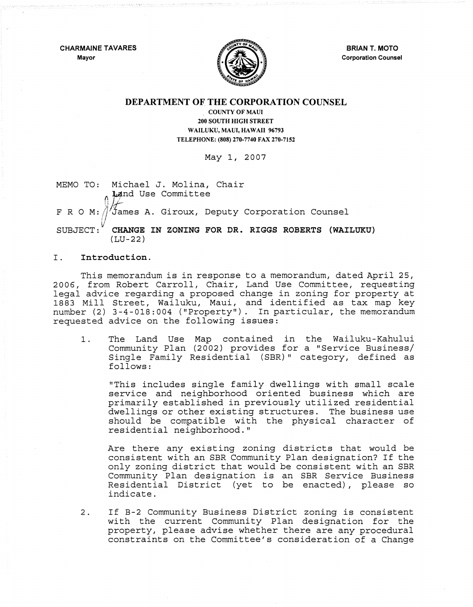CHARMAINE TAVARES Mayor



BRIAN T. MOTO Corporation Counsel

# DEPARTMENT OF THE CORPORATION COUNSEL

COUNTY OF MAUl 200 SOUTH HIGH STREET WAILUKU, MAUl, HAWAII 96793 TELEPHONE: (808) 270-7740 FAX 270-7152

May 1, 2007

MEMO TO: Michael J. Molina, Chair *Land Use Committee*  $~F~R~O~M$ :  $\frac{3}{4}$  dames A. Giroux, Deputy Corporation Counsel Ii SUBJECT:" CHANGE IN ZONING FOR DR. RIGGS ROBERTS (WAILUKU)  $(LU-22)$ 

### I. Introduction.

This memorandum is in response to a memorandum, dated April 25, 2006, from Robert Carroll, Chair, Land Use Committee, requesting legal advice regarding a proposed change in zoning for property at 1883 Mill Street, Wailuku, Maui, and identified as tax map key number (2) 3-4-018:004 ("Property"). In particular, the memorandum requested advice on the following issues:

1. The Land Use Map contained in the Wailuku-Kahului Community Plan (2002) provides for a "Service Business/ Single Family Residential (SBR) " category, defined as follows:

"This includes single family dwellings with small scale service and neighborhood oriented business which are primarily established in previously utilized residential dwellings or other existing structures. The business use should be compatible with the physical character of residential neighborhood."

Are there any existing zoning districts that would be consistent with an SBR Community Plan designation? If the only zoning district that would be consistent with an SBR Community Plan designation is an SBR Service Business Residential District (yet to be enacted), please so indicate.

2. If B-2 Community Business District zoning is consistent with the current Community Plan designation for the property, please advise whether there are any procedural constraints on the Committee's consideration of a Change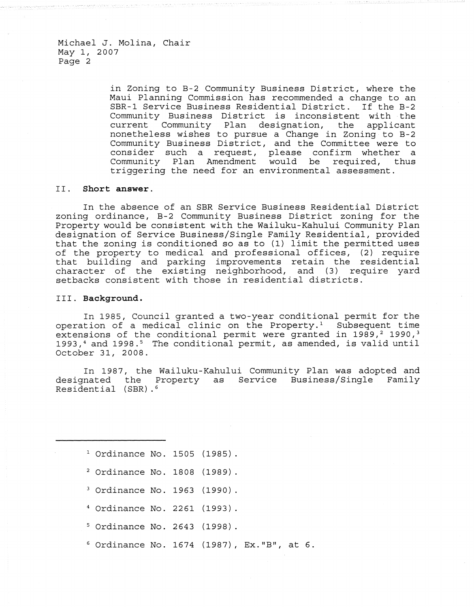Michael J. Molina, Chair May 1, 2007 Page 2

> in Zoning to B-2 Community Business District, where the Maui Planning Commission has recommended a change to an SBR-1 Service Business Residential District. If the B-2 Community Business District is inconsistent with the current Community Plan designation, the applicant nonetheless wishes to pursue a Change in Zoning to B-2 Community Business District, and the Committee were to consider such a request, please confirm whether a Community Plan Amendment would be required, thus triggering the need for an environmental assessment.

### II. **Short answer.**

In the absence of an SBR Service Business Residential District zoning ordinance, B-2 Community Business District zoning for the Property would be consistent with the Wailuku-Kahului Community Plan designation of Service Business/Single Family Residential, provided that the zoning is conditioned so as to (1) limit the permitted uses of the property to medical and professional offices, (2) require that building and parking improvements retain the residential character of the existing neighborhood, and (3) require yard setbacks consistent with those in residential districts.

#### III. **Background.**

In 1985, Council granted a two-year conditional permit for the operation of a medical clinic on the Property.<sup>1</sup> Subsequent time extensions of the conditional permit were granted in 1989, $2$  1990, $3$ 1993,<sup>4</sup> and 1998.<sup>5</sup> The conditional permit, as amended, is valid until October 31, 2008.

In 1987, the Wailuku-Kahului Community Plan was adopted and designated the Property as Service Business/Single Family Residential (SBR).6

<sup>1</sup> Ordinance No. 1505 (1985).

- 2 Ordinance No. 1808 (1989)
- 3 Ordinance No. 1963 (1990)
- 4 Ordinance No. 2261 (1993)
- 5 Ordinance No. 2643 (1998)
- $6$  Ordinance No. 1674 (1987), Ex."B", at  $6$ .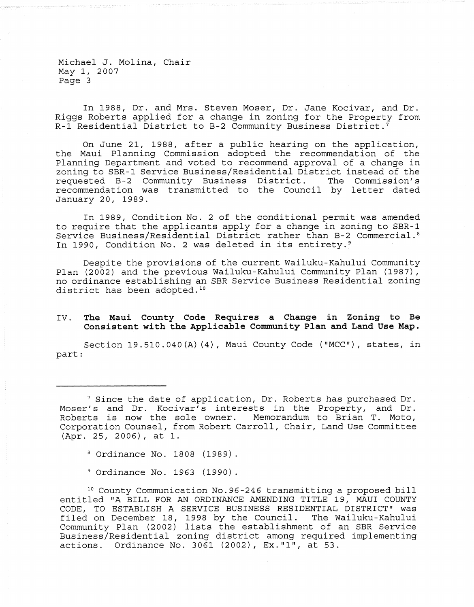Michael J. Molina, Chair May 1, 2007 Page 3

In 1988, Dr. and Mrs. Steven Moser, Dr. Jane Kocivar, and Dr. Riggs Roberts applied for a change in zoning for the Property from R-1 Residential District to B-2 Community Business District. <sup>7</sup>

On June 21, 1988, after a public hearing on the application, the Maui Planning Commission adopted the recommendation of the Planning Department and voted to recommend approval of a change in zoning to SBR-1 Service Business/Residential District instead of the<br>requested B-2 Community Business District. The Commission's requested B-2 Community Business District. recommendation was transmitted to the Council by letter dated January 20, 1989.

In 1989, Condition No.2 of the conditional permit was amended to require that the applicants apply for a change in zoning to SBR-1 Service Business/Residential District rather than B-2 Commercial. <sup>8</sup> In 1990, Condition No. 2 was deleted in its entirety.<sup>9</sup>

Despite the provisions of the current Wailuku-Kahului Community Plan (2002) and the previous Wailuku-Kahului Community Plan (1987), no ordinance establishing an SBR Service Business Residential zoning district has been adopted *.10* 

## IV. The Maui County Code Requires a Change in Zoning to Be Consistent with the Applicable Community Plan and Land Use Map.

Section 19.510.040(A) (4), Maui County Code ("MCC"), states, in part:

8 Ordinance No. 1808 (1989).

9 Ordinance No. 1963 (1990).

<sup>10</sup> County Communication No. 96-246 transmitting a proposed bill entitled "A BILL FOR AN ORDINANCE AMENDING TITLE 19, MAUl COUNTY CODE, TO ESTABLISH A SERVICE BUSINESS RESIDENTIAL DISTRICT" was filed on December 18, 1998 by the Council. The Wailuku-Kahului Community Plan (2002) lists the establishment of an SBR Service Business/Residential zoning district among required implementing actions. Ordinance No. 3061 (2002), Ex. "l", at 53.

 $7$  Since the date of application, Dr. Roberts has purchased Dr. Moser's and Dr. Kocivar's interests in the Property, and Dr. Roberts is now the sole owner. Memorandum to Brian T. Moto, Corporation Counsel, from Robert Carroll, Chair, Land Use Committee (Apr. 25, 2006), at 1.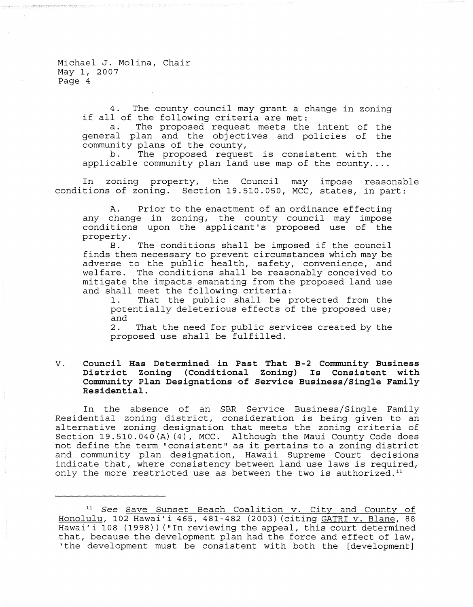Michael J. Molina, Chair May I, 2007 Page 4

> 4. The county council may grant a change in zoning if all of the following criteria are met:

> a. The proposed request meets the intent of the general plan and the objectives and policies of the community plans of the county,<br>b. The proposed reques

> The proposed request is consistent with the applicable community plan land use map of the county....

In zoning property, the Council may impose reasonable conditions of zoning. Section 19.510.050, MCC, states, in part:

A. Prior to the enactment of an ordinance effecting any change in zoning, the county council may impose conditions upon the applicant's proposed use of the property.<br>B.

The conditions shall be imposed if the council finds them necessary to prevent circumstances which may be adverse to the public health, safety, convenience, and welfare. The conditions shall be reasonably conceived to mitigate the impacts emanating from the proposed land use and shall meet the following criteria:<br>1. That the public shall be p

That the public shall be protected from the potentially deleterious effects of the proposed use; and

2. That the need for public services created by the proposed use shall be fulfilled.

## V. Council Has Determined in Past That B-2 Community Business District Zoning (Conditional Zoning) Is Consistent with Community Plan Designations of Service Business/Single Family Residential.

In the absence of an SBR Service Business/Single Family Residential zoning district, consideration is being given to an alternative zoning designation that meets the zoning criteria of Section 19.510.040 $(A)$  (4), MCC. Although the Maui County Code does not define the term "consistent" as it pertains to a zoning district and community plan designation, Hawaii Supreme Court decisions indicate that, where consistency between land use laws is required, only the more restricted use as between the two is authorized. $11$ 

<sup>&</sup>lt;sup>11</sup> See Save Sunset Beach Coalition v. City and County of Honolulu, 102 Hawai'i 465, 481-482 (2003) (citing GATRI v. Blane, 88 Hawai'i 108 (1998)) ("In reviewing the appeal, this court determined that, because the development plan had the force and effect of law, 'the development must be consistent with both the [development]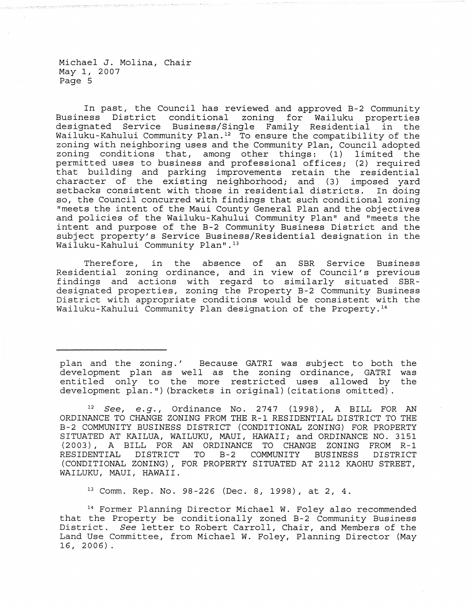Michael J. Molina, Chair May 1, 2007 Page 5

In past, the Council has reviewed and approved B-2 Community Business District conditional designated Service Business/Single Family Residential in the Wailuku-Kahului Community Plan.<sup>12</sup> To ensure the compatibility of the zoning with neighboring uses and the Community Plan, Council adopted zoning conditions that, among other things: (1) limited the permitted uses to business and professional offices; (2) required that building and parking improvements retain the residential character of the existing neighborhood; and (3) imposed yard setbacks consistent with those in residential districts. In doing so, the Council concurred with findings that such conditional zoning "meets the intent of the Maui County General Plan and the objectives and policies of the Wailuku-Kahului Community Plan" and "meets the intent and purpose of the B-2 Community Business District and the subject property's Service Business/Residential designation in the Wailuku-Kahului Community Plan".<sup>13</sup>

Therefore, in the absence of an SBR Service Business Residential zoning ordinance, and in view of Council's previous findings and actions with regard to similarly situated SBRdesignated properties, zoning the Property B-2 Community Business District with appropriate conditions would be consistent with the Wailuku-Kahului Community Plan designation of the Property.14

plan and the zoning.' Because GATRI was subject to both the<br>development plan as well as the zoning ordinance. GATRI was development plan as well as the zoning ordinance, GATRI was<br>entitled only to the more restricted uses allowed by the entitled only to the more restricted uses allowed by development plan.") (brackets in original) (citations omitted).

 $12$  See, e.g., Ordinance No. 2747 (1998), A BILL FOR AN ORDINANCE TO CHANGE ZONING FROM THE R-l RESIDENTIAL DISTRICT TO THE B-2 COMMUNITY BUSINESS DISTRICT (CONDITIONAL ZONING) FOR PROPERTY SITUATED AT KAILUA, WAILUKU, MAUl, HAWAII; and ORDINANCE NO. 3151 (2003), A BILL FOR AN ORDINANCE TO CHANGE ZONING FROM R-l RESIDENTIAL (CONDITIONAL ZONING), FOR PROPERTY SITUATED AT 2112 KAOHU STREET, WAILUKU, MAUl, HAWAII.

13 Comm. Rep. No. 98-226 (Dec. 8, 1998), at 2, 4.

14 Former Planning Director Michael W. Foley also recommended that the Property be conditionally zoned B-2 Community Business District. See letter to Robert Carroll, Chair, and Members of the Land Use Committee, from Michael W. Foley, Planning Director (May 16, 2006).